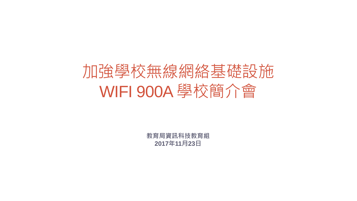# 加強學校無線網絡基礎設施 WIFI 900A 學校簡介會

**教育局資訊科技教育組 2017年11月23日**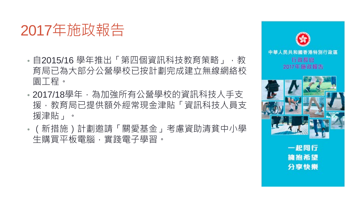### 2017年施政報告

- 自2015/16 學年推出「第四個資訊科技教育策略」,教 育局已為大部分公營學校已按計劃完成建立無線網絡校 園工程。
- 2017/18學年,為加強所有公營學校的資訊科技人手支 援,教育局已提供額外經常現金津貼「資訊科技人員支 援津貼」。
- (新措施)計劃邀請「關愛基金」考慮資助清貧中小學 生購買平板電腦,實踐電子學習。



一起同行 擁抱希望 分享快樂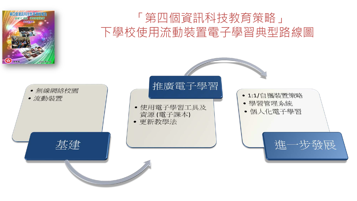



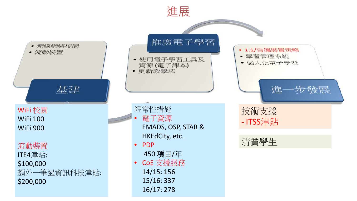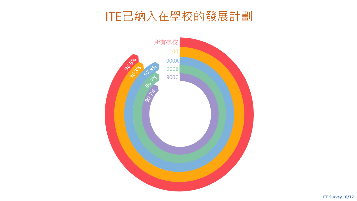### ITE已納入在學校的發展計劃

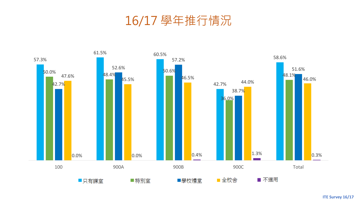16/17 學年推行情況



**ITE Survey 16/17**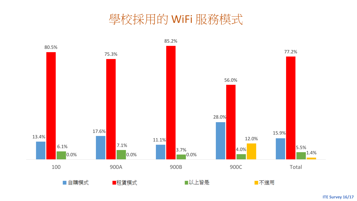### 學校採用的 WiFi 服務模式

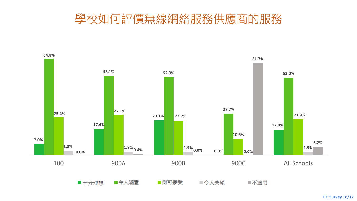### 學校如何評價無線網絡服務供應商的服務



**ITE Survey 16/17**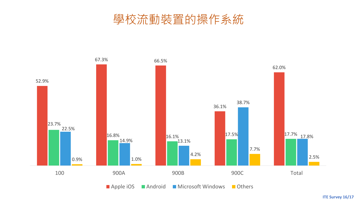### 學校流動裝置的操作系統



**ITE Survey 16/17**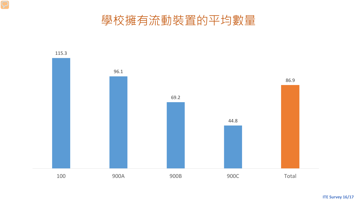學校擁有流動裝置的平均數量

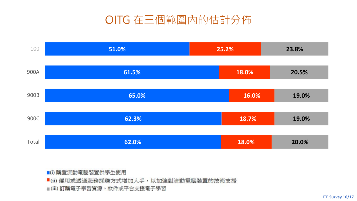### OITG 在三個範圍內的估計分佈



■(i) 購置流動電腦裝置供學生使用 ■(ii) 僱用或透過服務採購方式增加人手,以加強對流動電腦裝置的技術支援 ■(iii) 訂購電子學習資源、軟件或平台支援電子學習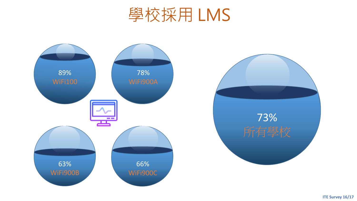



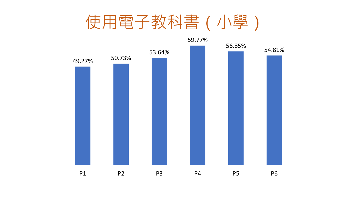

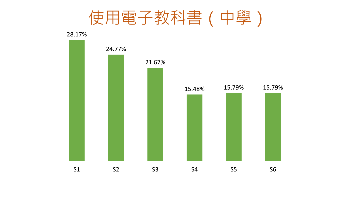使用電子教科書(中學)

28.17%

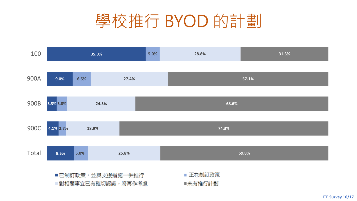

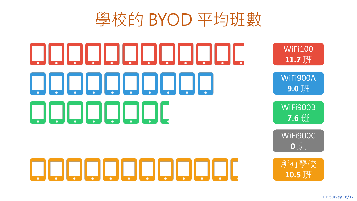# 學校的 BYOD 平均班數

# <u>ODODODODODI.</u> 00000000000 aaaaaac

QQQQQQQQQQQ

WiFi100 **11.7** 班

WiFi900A **9.0** 班

WiFi900B **7.6** 班

WiFi900C **0** 班

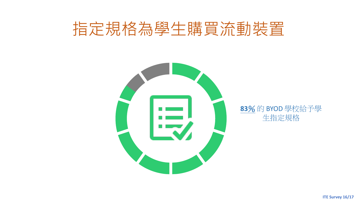# 指定規格為學生購買流動裝置



**83**% 的 BYOD 學校給予學 生指定規格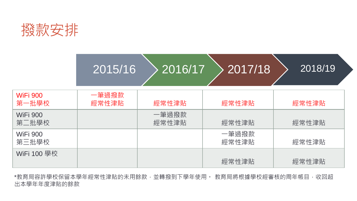

# $|2015/16$   $>$  2016/17  $>$  2017/18  $>$  2018/19

| <b>WiFi 900</b><br>第一批學校 | 一筆過撥款<br>經常性津貼 | 經常性津貼          | 經常性津貼          | 經常性津貼 |
|--------------------------|----------------|----------------|----------------|-------|
| <b>WiFi 900</b><br>第二批學校 |                | 一筆過撥款<br>經常性津貼 | 經常性津貼          | 經常性津貼 |
| <b>WiFi 900</b><br>第三批學校 |                |                | 一筆過撥款<br>經常性津貼 | 經常性津貼 |
| WiFi 100 學校              |                |                | 經常性津貼          | 經常性津貼 |

\*教育局容許學校保留本學年經常性津貼的未用餘款,並轉撥到下學年使用。 教育局將根據學校經審核的周年帳目,收回超 出本學年年度津貼的餘款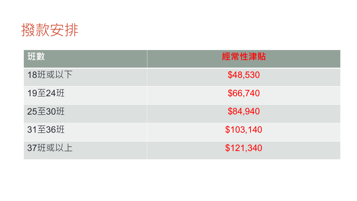

| 班數     | 經常性津貼     |
|--------|-----------|
| 18班或以下 | \$48,530  |
| 19至24班 | \$66,740  |
| 25至30班 | \$84,940  |
| 31至36班 | \$103,140 |
| 37班或以上 | \$121,340 |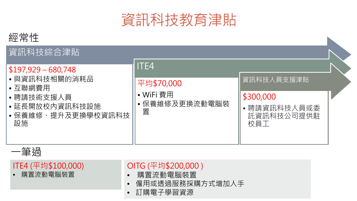

#### 經常性

#### 資訊科技綜合津貼

#### \$197,929 – 680,748

• 與資訊科技相關的消耗品

#### • 互聯網費用

- 聘請技術支援人員
- 延長開放校內資訊科技設;
- 保養維修、提升及更換學; 設施

|            | ITE4                           |                                              |  |  |  |
|------------|--------------------------------|----------------------------------------------|--|--|--|
|            | 平均\$70,000                     | 資訊科技人員支援津貼                                   |  |  |  |
| 施<br>校資訊科技 | • WiFi 費用<br>保養維修及更換流動電腦裝<br>置 | \$300,000<br>聘請資訊科技人員或委<br>託資訊科技公司提供駐<br>校員工 |  |  |  |



#### ITE4 (平均\$100,000)

• 購置流動電腦裝置

#### OITG (平均\$200,000 )

- 購置流動電腦裝置
- 僱用或透過服務採購方式增加人手
- 訂購電子學習資源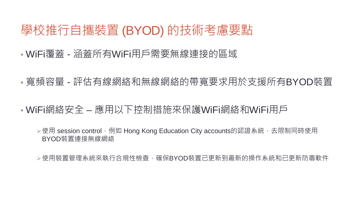### 學校推行自攜裝置 (BYOD) 的技術考慮要點

- WiFi覆蓋 涵蓋所有WiFi用戶需要無線連接的區域
- 寬頻容量 評估有線網絡和無線網絡的帶寬要求用於支援所有BYOD裝置
- WiFi網絡安全 應用以下控制措施來保護WiFi網絡和WiFi用戶
	- ▶使用 session control, 例如 Hong Kong Education City accounts的認證系統, 去限制同時使用 BYOD裝置連接無線網絡

▷使用裝置管理系統來執行合規性檢查,確保BYOD裝置已更新到最新的操作系統和已更新防毒軟件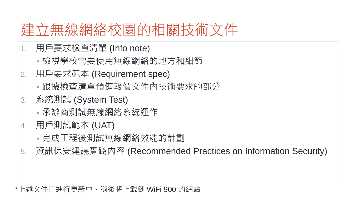### 建立無線網絡校園的相關技術文件

- 1. 用戶要求檢查清單 (Info note)
	- 檢視學校需要使用無線網絡的地方和細節
- 2. 用戶要求範本 (Requirement spec)
	- 跟據檢查清單預備報價文件內技術要求的部分
- 3. 系統測試 (System Test)
	- 承辦商測試無線網絡系統運作
- 4. 用戶測試範本 (UAT)
	- 完成工程後測試無線網絡效能的計劃
- 5. 資訊保安建議實踐內容 (Recommended Practices on Information Security)

#### \*上述文件正進行更新中,稍後將上載到 WiFi 900 的網站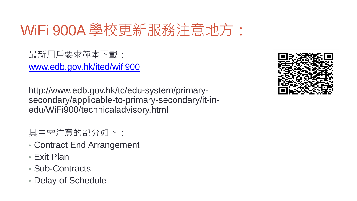## WiFi 900A 學校更新服務注意地方:

最新用戶要求範本下載: [www.edb.gov.hk/ited/wifi900](http://www.edb.gov.hk/ited/wifi900)

http://www.edb.gov.hk/tc/edu-system/primarysecondary/applicable-to-primary-secondary/it-inedu/WiFi900/technicaladvisory.html

#### 其中需注意的部分如下:

- Contract End Arrangement
- Exit Plan
- Sub-Contracts
- Delay of Schedule

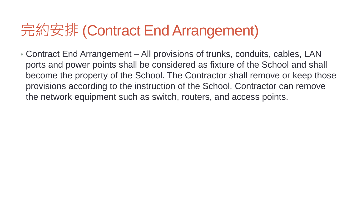# 完約安排 (Contract End Arrangement)

• Contract End Arrangement – All provisions of trunks, conduits, cables, LAN ports and power points shall be considered as fixture of the School and shall become the property of the School. The Contractor shall remove or keep those provisions according to the instruction of the School. Contractor can remove the network equipment such as switch, routers, and access points.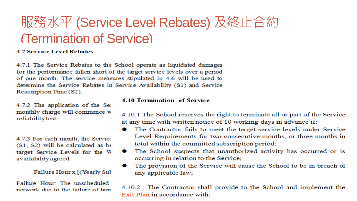### 服務水平 (Service Level Rebates) 及終止合約 (Termination of Service)

#### **4.7 Service Level Rebates**

4.7.1 The Service Rebates to the School operate as liquidated damages for the performance fallen short of the target service levels over a period of one month. The service measures stipulated in 4.6 will be used to determine the Service Rebates in Service Availability (S1) and Service Resumption Time (S2).

4.7.2 The application of the Sei monthly charge will commence w reliability test.

4.7.3 For each month, the Service  $(S1, S2)$  will be calculated as be target Service Levels for the W availability agreed:

Failure Hour x [(Yearly Sul

Failure Hour: The unscheduled network due to the failure of hard

#### 4.10 Termination of Service

4.10.1 The School reserves the right to terminate all or part of the Service at any time with written notice of 10 working days in advance if:

- The Contractor fails to meet the target service levels under Service Level Requirements for two consecutive months, or three months in total within the committed subscription period;
- The School suspects that unauthorized activity has occurred or is . occurring in relation to the Service;
- The provision of the Service will cause the School to be in breach of  $\bullet$ any applicable law;

4.10.2 The Contractor shall provide to the School and implement the Exit Plan in accordance with: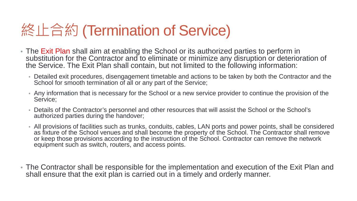## 終止合約 (Termination of Service)

- The Exit Plan shall aim at enabling the School or its authorized parties to perform in substitution for the Contractor and to eliminate or minimize any disruption or deterioration of the Service. The Exit Plan shall contain, but not limited to the following information:
	- Detailed exit procedures, disengagement timetable and actions to be taken by both the Contractor and the School for smooth termination of all or any part of the Service;
	- Any information that is necessary for the School or a new service provider to continue the provision of the Service;
	- Details of the Contractor's personnel and other resources that will assist the School or the School's authorized parties during the handover;
	- All provisions of facilities such as trunks, conduits, cables, LAN ports and power points, shall be considered as fixture of the School venues and shall become the property of the School. The Contractor shall remove or keep those provisions according to the instruction of the School. Contractor can remove the network equipment such as switch, routers, and access points.
- The Contractor shall be responsible for the implementation and execution of the Exit Plan and shall ensure that the exit plan is carried out in a timely and orderly manner.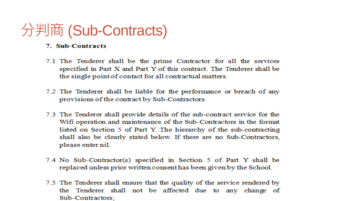### 分判商 (Sub-Contracts)

#### 7. Sub-Contracts

- 7.1 The Tenderer shall be the prime Contractor for all the services specified in Part X and Part Y of this contract. The Tenderer shall be the single point of contact for all contractual matters.
- 7.2 The Tenderer shall be liable for the performance or breach of any provisions of the contract by Sub-Contractors.
- 7.3 The Tenderer shall provide details of the sub-contract service for the Wifi operation and maintenance of the Sub-Contractors in the format listed on Section 5 of Part Y. The hierarchy of the sub-contracting shall also be clearly stated below. If there are no Sub-Contractors, please enter nil.
- 7.4 No Sub-Contractor(s) specified in Section 5 of Part Y shall be replaced unless prior written consent has been given by the School.
- 7.5 The Tenderer shall ensure that the quality of the service rendered by the Tenderer shall not be affected due to any change of Sub-Contractors: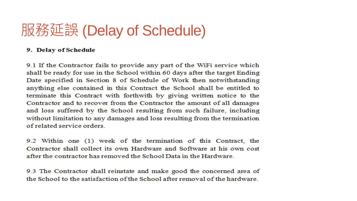### 服務延誤 (Delay of Schedule)

#### 9. Delay of Schedule

9.1 If the Contractor fails to provide any part of the WiFi service which shall be ready for use in the School within 60 days after the target Ending Date specified in Section 8 of Schedule of Work then notwithstanding anything else contained in this Contract the School shall be entitled to terminate this Contract with forthwith by giving written notice to the Contractor and to recover from the Contractor the amount of all damages and loss suffered by the School resulting from such failure, including without limitation to any damages and loss resulting from the termination of related service orders

9.2 Within one (1) week of the termination of this Contract, the Contractor shall collect its own Hardware and Software at his own cost after the contractor has removed the School Data in the Hardware.

9.3 The Contractor shall reinstate and make good the concerned area of the School to the satisfaction of the School after removal of the hardware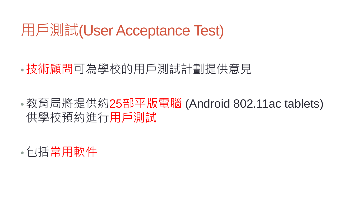### 用戶測試(User Acceptance Test)

### •技術顧問可為學校的用戶測試計劃提供意見

•教育局將提供約**25**部平版電腦 (Android 802.11ac tablets) 供學校預約進行用戶測試

•包括常用軟件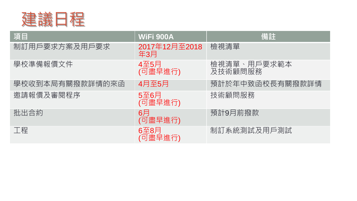

| 項目              | WiFi 900A                 | 備註                     |
|-----------------|---------------------------|------------------------|
| 制訂用戶要求方案及用戶要求   | 2017年12月至2018<br>年3月      | 檢視清單                   |
| 學校準備報價文件        | 4至5月<br>(可盡早進行)           | 檢視清單、用戶要求範本<br>及技術顧問服務 |
| 學校收到本局有關撥款詳情的來函 | 4月至5月                     | 預計於年中致函校長有關撥款詳情        |
| 邀請報價及審閱程序       | 5至6月<br>(可盡早進行)           | 技術顧問服務                 |
| 批出合約            | 6 <sup>5</sup><br>(可盡早進行) | 預計9月前撥款                |
| 工程              | 6至8月<br>(可盡早進行)           | 制訂系統測試及用戶測試            |